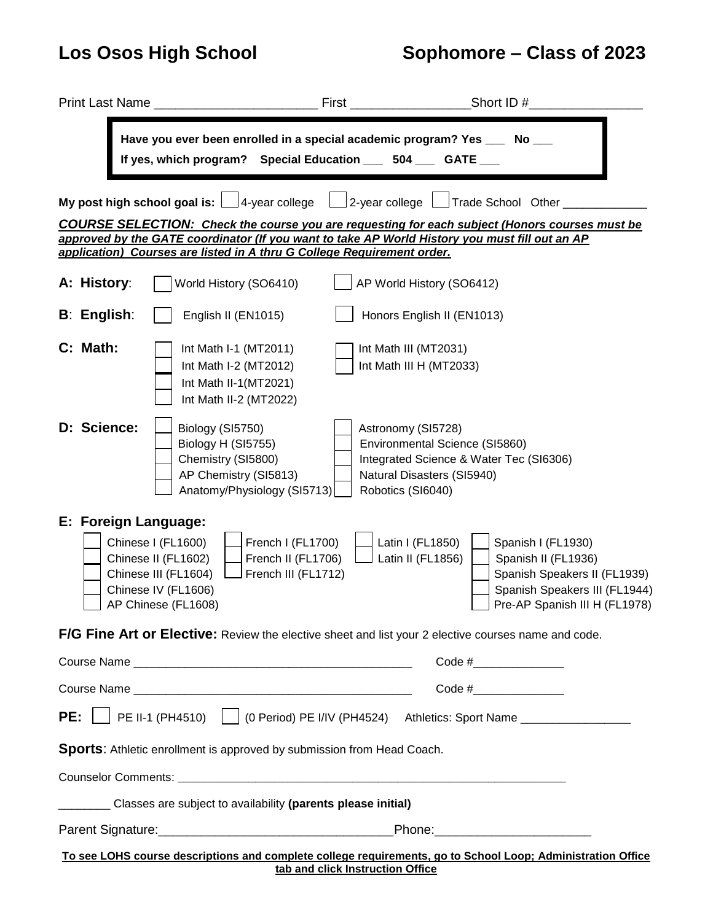# **Los Osos High School Sophomore – Class of 2023**

|                                                                                                                                                                                                                                                                                   |                      | Have you ever been enrolled in a special academic program? Yes ___ No ___<br>If yes, which program? Special Education ___ 504 ___ GATE __                                         |                                                                                                         |                                                                                                                                             |  |  |  |
|-----------------------------------------------------------------------------------------------------------------------------------------------------------------------------------------------------------------------------------------------------------------------------------|----------------------|-----------------------------------------------------------------------------------------------------------------------------------------------------------------------------------|---------------------------------------------------------------------------------------------------------|---------------------------------------------------------------------------------------------------------------------------------------------|--|--|--|
| My post high school goal is: $\Box$ 4-year college $\Box$ 2-year college $\Box$ Trade School Other                                                                                                                                                                                |                      |                                                                                                                                                                                   |                                                                                                         |                                                                                                                                             |  |  |  |
| <b>COURSE SELECTION:</b> Check the course you are requesting for each subject (Honors courses must be<br>approved by the GATE coordinator (If you want to take AP World History you must fill out an AP<br>application) Courses are listed in A thru G College Requirement order. |                      |                                                                                                                                                                                   |                                                                                                         |                                                                                                                                             |  |  |  |
|                                                                                                                                                                                                                                                                                   | A: History:          | World History (SO6410)                                                                                                                                                            | AP World History (SO6412)                                                                               |                                                                                                                                             |  |  |  |
|                                                                                                                                                                                                                                                                                   | <b>B: English:</b>   | English II (EN1015)                                                                                                                                                               | Honors English II (EN1013)                                                                              |                                                                                                                                             |  |  |  |
|                                                                                                                                                                                                                                                                                   | C: Math:             | Int Math I-1 (MT2011)<br>Int Math I-2 (MT2012)<br>Int Math II-1(MT2021)<br>Int Math II-2 (MT2022)                                                                                 | Int Math III (MT2031)<br>Int Math III H (MT2033)                                                        |                                                                                                                                             |  |  |  |
|                                                                                                                                                                                                                                                                                   | D: Science:          | Biology (SI5750)<br>Biology H (SI5755)<br>Chemistry (SI5800)<br>AP Chemistry (SI5813)<br>Anatomy/Physiology (SI5713)                                                              | Astronomy (SI5728)<br>Environmental Science (SI5860)<br>Natural Disasters (SI5940)<br>Robotics (SI6040) | Integrated Science & Water Tec (SI6306)                                                                                                     |  |  |  |
|                                                                                                                                                                                                                                                                                   | E: Foreign Language: | French I (FL1700)<br>Chinese I (FL1600)<br>Chinese II (FL1602)<br>French II (FL1706)<br>French III (FL1712)<br>Chinese III (FL1604)<br>Chinese IV (FL1606)<br>AP Chinese (FL1608) | Latin I (FL1850)<br>Latin II (FL1856)                                                                   | Spanish I (FL1930)<br>Spanish II (FL1936)<br>Spanish Speakers II (FL1939)<br>Spanish Speakers III (FL1944)<br>Pre-AP Spanish III H (FL1978) |  |  |  |
|                                                                                                                                                                                                                                                                                   |                      | F/G Fine Art or Elective: Review the elective sheet and list your 2 elective courses name and code.                                                                               |                                                                                                         |                                                                                                                                             |  |  |  |
|                                                                                                                                                                                                                                                                                   |                      |                                                                                                                                                                                   |                                                                                                         | Code # $\frac{1}{2}$                                                                                                                        |  |  |  |
|                                                                                                                                                                                                                                                                                   |                      |                                                                                                                                                                                   | Code # $\sqrt{2}$                                                                                       |                                                                                                                                             |  |  |  |
| PE:                                                                                                                                                                                                                                                                               |                      |                                                                                                                                                                                   |                                                                                                         |                                                                                                                                             |  |  |  |
|                                                                                                                                                                                                                                                                                   |                      | <b>Sports:</b> Athletic enrollment is approved by submission from Head Coach.                                                                                                     |                                                                                                         |                                                                                                                                             |  |  |  |
|                                                                                                                                                                                                                                                                                   |                      |                                                                                                                                                                                   |                                                                                                         |                                                                                                                                             |  |  |  |
| Classes are subject to availability (parents please initial)                                                                                                                                                                                                                      |                      |                                                                                                                                                                                   |                                                                                                         |                                                                                                                                             |  |  |  |
|                                                                                                                                                                                                                                                                                   |                      |                                                                                                                                                                                   |                                                                                                         |                                                                                                                                             |  |  |  |
|                                                                                                                                                                                                                                                                                   |                      |                                                                                                                                                                                   | tab and click Instruction Office                                                                        | To see LOHS course descriptions and complete college requirements, go to School Loop; Administration Office                                 |  |  |  |